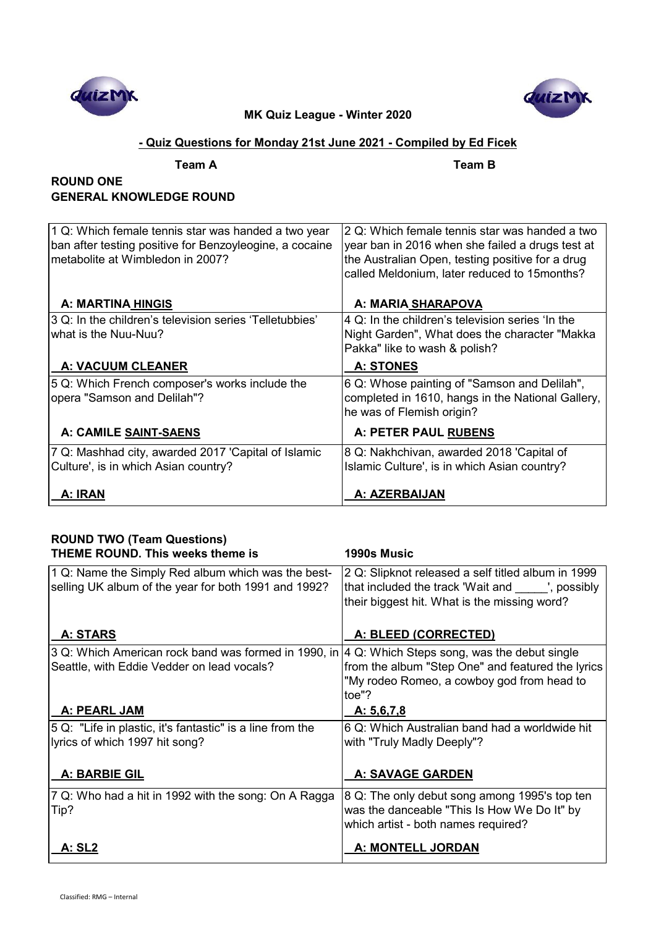



## **- Quiz Questions for Monday 21st June 2021 - Compiled by Ed Ficek**

**Team A Team B**

## **ROUND ONE GENERAL KNOWLEDGE ROUND**

| 1 Q: Which female tennis star was handed a two year<br>ban after testing positive for Benzoyleogine, a cocaine<br>metabolite at Wimbledon in 2007? | 2 Q: Which female tennis star was handed a two<br>year ban in 2016 when she failed a drugs test at<br>the Australian Open, testing positive for a drug<br>called Meldonium, later reduced to 15months? |
|----------------------------------------------------------------------------------------------------------------------------------------------------|--------------------------------------------------------------------------------------------------------------------------------------------------------------------------------------------------------|
| A: MARTINA HINGIS                                                                                                                                  | A: MARIA SHARAPOVA                                                                                                                                                                                     |
| 3 Q: In the children's television series 'Telletubbies'<br>what is the Nuu-Nuu?                                                                    | 4 Q: In the children's television series 'In the<br>Night Garden", What does the character "Makka<br>Pakka" like to wash & polish?                                                                     |
| <b>A: VACUUM CLEANER</b>                                                                                                                           | <b>A: STONES</b>                                                                                                                                                                                       |
| 5 Q: Which French composer's works include the<br>opera "Samson and Delilah"?                                                                      | 6 Q: Whose painting of "Samson and Delilah",<br>completed in 1610, hangs in the National Gallery,<br>he was of Flemish origin?                                                                         |
| A: CAMILE SAINT-SAENS                                                                                                                              | <b>A: PETER PAUL RUBENS</b>                                                                                                                                                                            |
| 7 Q: Mashhad city, awarded 2017 'Capital of Islamic<br>Culture', is in which Asian country?                                                        | 8 Q: Nakhchivan, awarded 2018 'Capital of<br>Islamic Culture', is in which Asian country?                                                                                                              |
| A: IRAN                                                                                                                                            | A: AZERBAIJAN                                                                                                                                                                                          |

| <b>ROUND TWO (Team Questions)</b>                                                                 |                                                    |
|---------------------------------------------------------------------------------------------------|----------------------------------------------------|
| <b>THEME ROUND. This weeks theme is</b>                                                           | 1990s Music                                        |
| 1 Q: Name the Simply Red album which was the best-                                                | 2 Q: Slipknot released a self titled album in 1999 |
| selling UK album of the year for both 1991 and 1992?                                              | that included the track 'Wait and ', possibly      |
|                                                                                                   | their biggest hit. What is the missing word?       |
|                                                                                                   |                                                    |
| A: STARS                                                                                          | A: BLEED (CORRECTED)                               |
| 3 Q: Which American rock band was formed in 1990, in  4 Q: Which Steps song, was the debut single |                                                    |
| Seattle, with Eddie Vedder on lead vocals?                                                        | from the album "Step One" and featured the lyrics  |
|                                                                                                   | "My rodeo Romeo, a cowboy god from head to         |
|                                                                                                   | toe"?                                              |
| A: PEARL JAM                                                                                      | A: 5,6,7,8                                         |
| 5 Q: "Life in plastic, it's fantastic" is a line from the                                         | 6 Q: Which Australian band had a worldwide hit     |
| lyrics of which 1997 hit song?                                                                    | with "Truly Madly Deeply"?                         |
|                                                                                                   |                                                    |
| A: BARBIE GIL                                                                                     | <b>A: SAVAGE GARDEN</b>                            |
| 7 Q: Who had a hit in 1992 with the song: On A Ragga                                              | 8 Q: The only debut song among 1995's top ten      |
| Tip?                                                                                              | was the danceable "This Is How We Do It" by        |
|                                                                                                   | which artist - both names required?                |
| <u>A: SL2</u>                                                                                     | A: MONTELL JORDAN                                  |
|                                                                                                   |                                                    |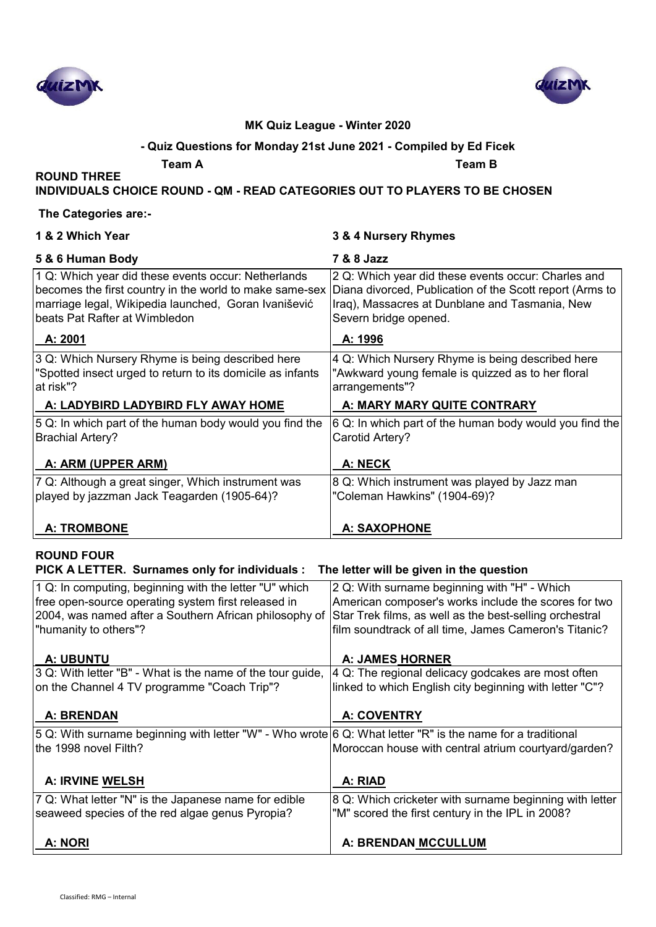



### **- Quiz Questions for Monday 21st June 2021 - Compiled by Ed Ficek**

**Team A Team B**

**INDIVIDUALS CHOICE ROUND - QM - READ CATEGORIES OUT TO PLAYERS TO BE CHOSEN**

### **The Categories are:-**

**ROUND THREE** 

| 1 & 2 Which Year                                                                                                                                                                                        | 3 & 4 Nursery Rhymes                                                                                                                                                                                                     |  |
|---------------------------------------------------------------------------------------------------------------------------------------------------------------------------------------------------------|--------------------------------------------------------------------------------------------------------------------------------------------------------------------------------------------------------------------------|--|
| 5 & 6 Human Body                                                                                                                                                                                        | 7 & 8 Jazz                                                                                                                                                                                                               |  |
| 1 Q: Which year did these events occur: Netherlands<br>becomes the first country in the world to make same-sex<br>marriage legal, Wikipedia launched, Goran Ivanišević<br>beats Pat Rafter at Wimbledon | 2 Q: Which year did these events occur: Charles and<br>Diana divorced, Publication of the Scott report (Arms to<br>Iraq), Massacres at Dunblane and Tasmania, New<br>Severn bridge opened.                               |  |
| A: 2001                                                                                                                                                                                                 | A: 1996                                                                                                                                                                                                                  |  |
| 3 Q: Which Nursery Rhyme is being described here<br>"Spotted insect urged to return to its domicile as infants<br>at risk"?                                                                             | 4 Q: Which Nursery Rhyme is being described here<br>"Awkward young female is quizzed as to her floral<br>arrangements"?                                                                                                  |  |
| A: LADYBIRD LADYBIRD FLY AWAY HOME                                                                                                                                                                      | A: MARY MARY QUITE CONTRARY                                                                                                                                                                                              |  |
| 5 Q: In which part of the human body would you find the<br><b>Brachial Artery?</b>                                                                                                                      | 6 Q: In which part of the human body would you find the<br>Carotid Artery?                                                                                                                                               |  |
| A: ARM (UPPER ARM)                                                                                                                                                                                      | A: NECK                                                                                                                                                                                                                  |  |
| 7 Q: Although a great singer, Which instrument was<br>played by jazzman Jack Teagarden (1905-64)?                                                                                                       | 8 Q: Which instrument was played by Jazz man<br>"Coleman Hawkins" (1904-69)?                                                                                                                                             |  |
| <b>A: TROMBONE</b>                                                                                                                                                                                      | <b>A: SAXOPHONE</b>                                                                                                                                                                                                      |  |
| <b>ROUND FOUR</b><br>PICK A LETTER. Surnames only for individuals :<br>The letter will be given in the question                                                                                         |                                                                                                                                                                                                                          |  |
| 1 Q: In computing, beginning with the letter "U" which<br>free open-source operating system first released in<br>2004, was named after a Southern African philosophy of<br>"humanity to others"?        | 2 Q: With surname beginning with "H" - Which<br>American composer's works include the scores for two<br>Star Trek films, as well as the best-selling orchestral<br>film soundtrack of all time, James Cameron's Titanic? |  |
| <b>A: UBUNTU</b>                                                                                                                                                                                        | <b>A: JAMES HORNER</b>                                                                                                                                                                                                   |  |
| 3 Q: With letter "B" - What is the name of the tour guide,                                                                                                                                              | 4 Q: The regional delicacy godcakes are most often                                                                                                                                                                       |  |
| on the Channel 4 TV programme "Coach Trip"?                                                                                                                                                             | linked to which English city beginning with letter "C"?                                                                                                                                                                  |  |

| A: BRENDAN                                                                                                 | <b>A: COVENTRY</b>                                      |
|------------------------------------------------------------------------------------------------------------|---------------------------------------------------------|
| 5 Q: With surname beginning with letter "W" - Who wrote 6 Q: What letter "R" is the name for a traditional |                                                         |
| the 1998 novel Filth?                                                                                      | Moroccan house with central atrium courtyard/garden?    |
|                                                                                                            |                                                         |
| <b>A: IRVINE WELSH</b>                                                                                     | A: RIAD                                                 |
| 7 Q: What letter "N" is the Japanese name for edible                                                       | 8 Q: Which cricketer with surname beginning with letter |
| seaweed species of the red algae genus Pyropia?                                                            | "M" scored the first century in the IPL in 2008?        |
|                                                                                                            |                                                         |

A: NORI **A: NORI A: BRENDAN MCCULLUM**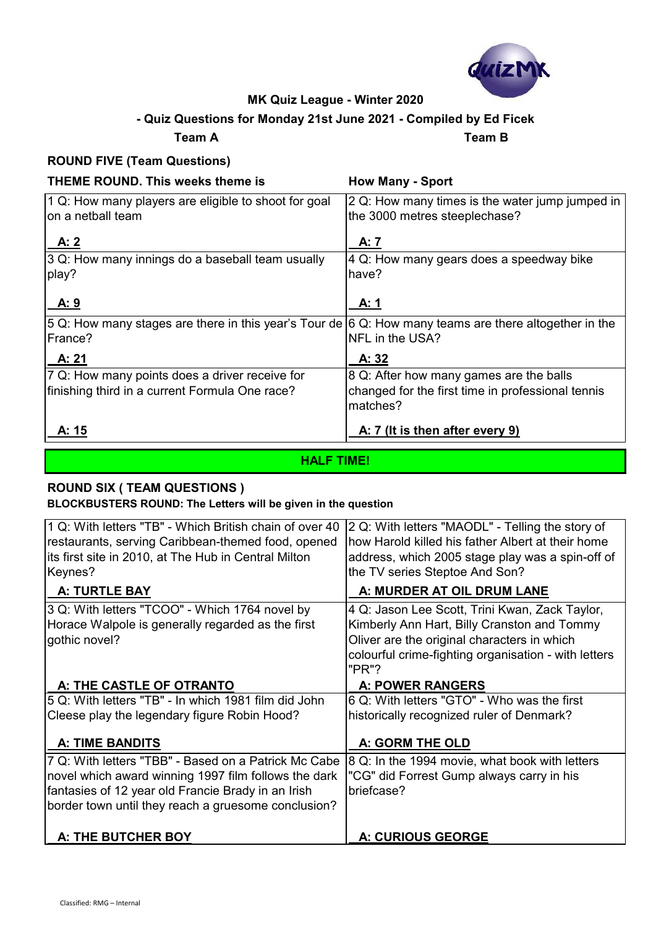

## **- Quiz Questions for Monday 21st June 2021 - Compiled by Ed Ficek**

**Team A Team B**

## **ROUND FIVE (Team Questions)**

| THEME ROUND. This weeks theme is                                                                      | <b>How Many - Sport</b>                           |
|-------------------------------------------------------------------------------------------------------|---------------------------------------------------|
| 1 Q: How many players are eligible to shoot for goal                                                  | 2 Q: How many times is the water jump jumped in   |
| Ion a netball team                                                                                    | the 3000 metres steeplechase?                     |
| <u>A: 2</u>                                                                                           | A: 7                                              |
| 3 Q: How many innings do a baseball team usually                                                      | 4 Q: How many gears does a speedway bike          |
| play?                                                                                                 | have?                                             |
| A:9                                                                                                   | A: 1                                              |
| 5 Q: How many stages are there in this year's Tour de 6 Q: How many teams are there altogether in the |                                                   |
| lFrance?                                                                                              | NFL in the USA?                                   |
| A: 21                                                                                                 | A: 32                                             |
| 7 Q: How many points does a driver receive for                                                        | 8 Q: After how many games are the balls           |
| finishing third in a current Formula One race?                                                        | changed for the first time in professional tennis |
|                                                                                                       | matches?                                          |
| <u>A: 15</u>                                                                                          | A: 7 (It is then after every 9)                   |
|                                                                                                       |                                                   |

**HALF TIME!**

# **ROUND SIX ( TEAM QUESTIONS )**

**BLOCKBUSTERS ROUND: The Letters will be given in the question**

| 1 Q: With letters "TB" - Which British chain of over 40<br>restaurants, serving Caribbean-themed food, opened<br>its first site in 2010, at The Hub in Central Milton<br>Keynes?                                          | 2 Q: With letters "MAODL" - Telling the story of<br>how Harold killed his father Albert at their home<br>address, which 2005 stage play was a spin-off of<br>the TV series Steptoe And Son?                   |
|---------------------------------------------------------------------------------------------------------------------------------------------------------------------------------------------------------------------------|---------------------------------------------------------------------------------------------------------------------------------------------------------------------------------------------------------------|
| A: TURTLE BAY                                                                                                                                                                                                             | A: MURDER AT OIL DRUM LANE                                                                                                                                                                                    |
| 3 Q: With letters "TCOO" - Which 1764 novel by<br>Horace Walpole is generally regarded as the first<br>gothic novel?                                                                                                      | 4 Q: Jason Lee Scott, Trini Kwan, Zack Taylor,<br>Kimberly Ann Hart, Billy Cranston and Tommy<br>Oliver are the original characters in which<br>colourful crime-fighting organisation - with letters<br>"PR"? |
| A: THE CASTLE OF OTRANTO                                                                                                                                                                                                  | <b>A: POWER RANGERS</b>                                                                                                                                                                                       |
| 5 Q: With letters "TB" - In which 1981 film did John                                                                                                                                                                      | 6 Q: With letters "GTO" - Who was the first                                                                                                                                                                   |
| Cleese play the legendary figure Robin Hood?                                                                                                                                                                              | historically recognized ruler of Denmark?                                                                                                                                                                     |
| <b>A: TIME BANDITS</b>                                                                                                                                                                                                    | A: GORM THE OLD                                                                                                                                                                                               |
| 7 Q: With letters "TBB" - Based on a Patrick Mc Cabe<br>novel which award winning 1997 film follows the dark<br>fantasies of 12 year old Francie Brady in an Irish<br>border town until they reach a gruesome conclusion? | 8 Q: In the 1994 movie, what book with letters<br>"CG" did Forrest Gump always carry in his<br>briefcase?                                                                                                     |
| A: THE BUTCHER BOY                                                                                                                                                                                                        | A: CURIOUS GEORGE                                                                                                                                                                                             |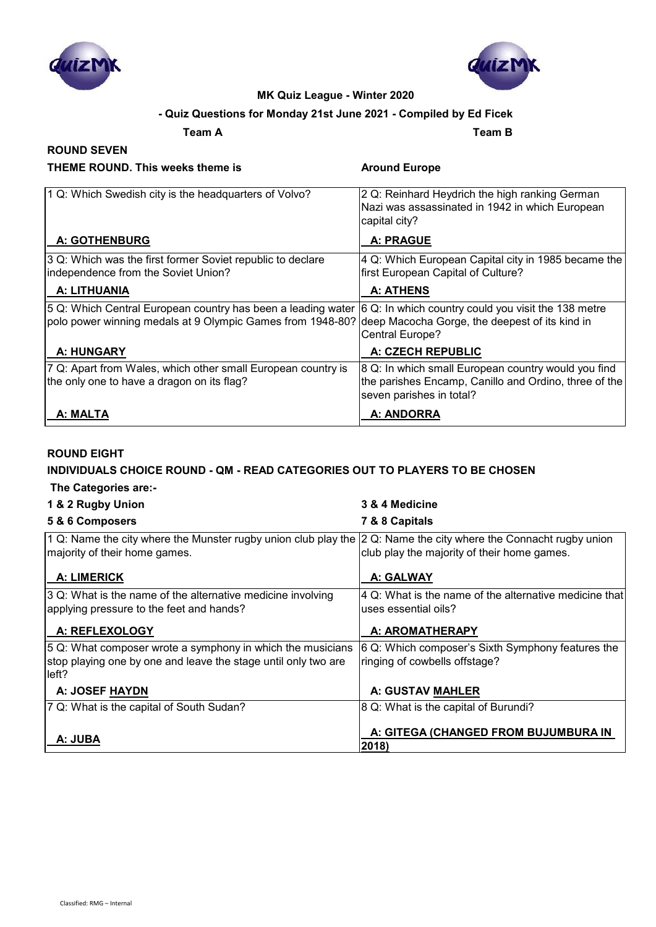



### **- Quiz Questions for Monday 21st June 2021 - Compiled by Ed Ficek**

**Team A Team B**

# **ROUND SEVEN**

### **THEME ROUND. This weeks theme is Around Europe**

| 1 Q: Which Swedish city is the headquarters of Volvo?                                                                      | 2 Q: Reinhard Heydrich the high ranking German<br>Nazi was assassinated in 1942 in which European                               |
|----------------------------------------------------------------------------------------------------------------------------|---------------------------------------------------------------------------------------------------------------------------------|
|                                                                                                                            | capital city?                                                                                                                   |
| <b>A: GOTHENBURG</b>                                                                                                       | <b>A: PRAGUE</b>                                                                                                                |
| 3 Q: Which was the first former Soviet republic to declare<br>independence from the Soviet Union?                          | 4 Q: Which European Capital city in 1985 became the<br>first European Capital of Culture?                                       |
| A: LITHUANIA                                                                                                               | A: ATHENS                                                                                                                       |
| 5 Q: Which Central European country has been a leading water<br>polo power winning medals at 9 Olympic Games from 1948-80? | 6 Q: In which country could you visit the 138 metre<br>deep Macocha Gorge, the deepest of its kind in<br><b>Central Europe?</b> |
| A: HUNGARY                                                                                                                 | A: CZECH REPUBLIC                                                                                                               |
| 7 Q: Apart from Wales, which other small European country is                                                               | 8 Q: In which small European country would you find                                                                             |
| the only one to have a dragon on its flag?                                                                                 | the parishes Encamp, Canillo and Ordino, three of the<br>seven parishes in total?                                               |
| A: MALTA                                                                                                                   | A: ANDORRA                                                                                                                      |

### **ROUND EIGHT**

### **INDIVIDUALS CHOICE ROUND - QM - READ CATEGORIES OUT TO PLAYERS TO BE CHOSEN**

### **The Categories are:-**

| 1 & 2 Rugby Union                                                                                                                      | 3 & 4 Medicine                                                                                   |
|----------------------------------------------------------------------------------------------------------------------------------------|--------------------------------------------------------------------------------------------------|
| 5 & 6 Composers                                                                                                                        | 7 & 8 Capitals                                                                                   |
| 1 Q: Name the city where the Munster rugby union club play the<br>majority of their home games.                                        | 2 Q: Name the city where the Connacht rugby union<br>club play the majority of their home games. |
| <b>A: LIMERICK</b>                                                                                                                     | A: GALWAY                                                                                        |
| 3 Q: What is the name of the alternative medicine involving<br>applying pressure to the feet and hands?                                | 4 Q: What is the name of the alternative medicine that<br>uses essential oils?                   |
| A: REFLEXOLOGY                                                                                                                         | A: AROMATHERAPY                                                                                  |
| 5 Q: What composer wrote a symphony in which the musicians<br>stop playing one by one and leave the stage until only two are<br>lleft? | 6 Q: Which composer's Sixth Symphony features the<br>ringing of cowbells offstage?               |
| A: JOSEF HAYDN                                                                                                                         | A: GUSTAV MAHLER                                                                                 |
| 7 Q: What is the capital of South Sudan?                                                                                               | 8 Q: What is the capital of Burundi?                                                             |
| A: JUBA                                                                                                                                | A: GITEGA (CHANGED FROM BUJUMBURA IN<br>2018)                                                    |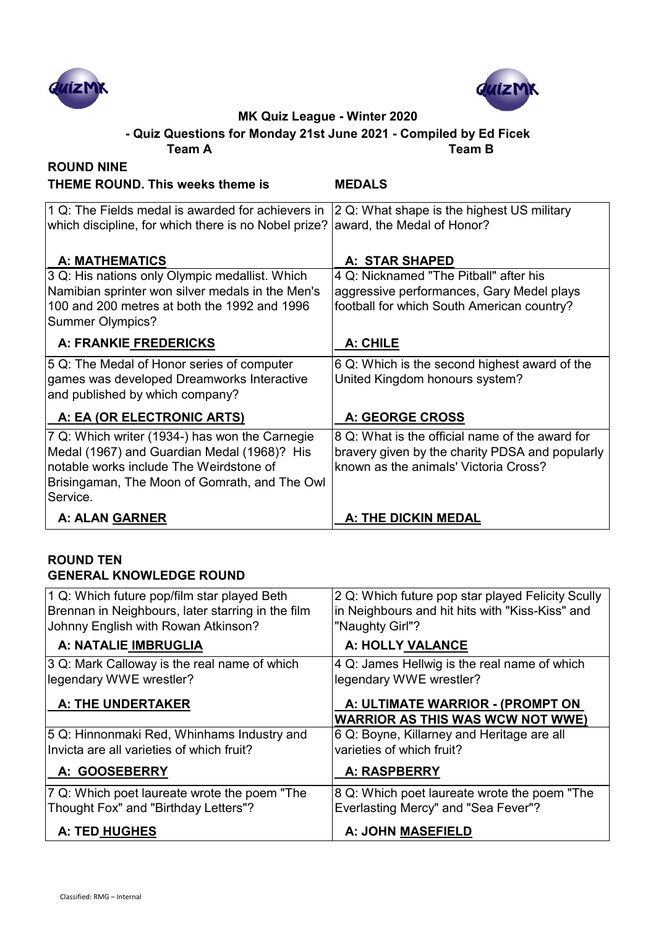



**Team A Team B - Quiz Questions for Monday 21st June 2021 - Compiled by Ed Ficek**

| <b>ROUND NINE</b>                                                                                                                                                                                     |                                                                                                                                             |
|-------------------------------------------------------------------------------------------------------------------------------------------------------------------------------------------------------|---------------------------------------------------------------------------------------------------------------------------------------------|
| <b>THEME ROUND. This weeks theme is</b>                                                                                                                                                               | <b>MEDALS</b>                                                                                                                               |
| 1 Q: The Fields medal is awarded for achievers in<br>which discipline, for which there is no Nobel prize?                                                                                             | 2 Q: What shape is the highest US military<br>award, the Medal of Honor?                                                                    |
| <b>A: MATHEMATICS</b>                                                                                                                                                                                 | A: STAR SHAPED                                                                                                                              |
| 3 Q: His nations only Olympic medallist. Which<br>Namibian sprinter won silver medals in the Men's<br>100 and 200 metres at both the 1992 and 1996<br><b>Summer Olympics?</b>                         | 4 Q: Nicknamed "The Pitball" after his<br>aggressive performances, Gary Medel plays<br>football for which South American country?           |
| A: FRANKIE FREDERICKS                                                                                                                                                                                 | A: CHILE                                                                                                                                    |
| 5 Q: The Medal of Honor series of computer<br>games was developed Dreamworks Interactive<br>and published by which company?                                                                           | 6 Q: Which is the second highest award of the<br>United Kingdom honours system?                                                             |
| A: EA (OR ELECTRONIC ARTS)                                                                                                                                                                            | <b>A: GEORGE CROSS</b>                                                                                                                      |
| 7 Q: Which writer (1934-) has won the Carnegie<br>Medal (1967) and Guardian Medal (1968)? His<br>notable works include The Weirdstone of<br>Brisingaman, The Moon of Gomrath, and The Owl<br>Service. | 8 Q: What is the official name of the award for<br>bravery given by the charity PDSA and popularly<br>known as the animals' Victoria Cross? |
| A: ALAN GARNER                                                                                                                                                                                        | <b>A: THE DICKIN MEDAL</b>                                                                                                                  |

### **ROUND TEN GENERAL KNOWLEDGE ROUND**

| 1 Q: Which future pop/film star played Beth       | 2 Q: Which future pop star played Felicity Scully                           |
|---------------------------------------------------|-----------------------------------------------------------------------------|
| Brennan in Neighbours, later starring in the film | in Neighbours and hit hits with "Kiss-Kiss" and                             |
| Johnny English with Rowan Atkinson?               | "Naughty Girl"?                                                             |
| A: NATALIE IMBRUGLIA                              | A: HOLLY VALANCE                                                            |
| 3 Q: Mark Calloway is the real name of which      | 4 Q: James Hellwig is the real name of which                                |
| legendary WWE wrestler?                           | legendary WWE wrestler?                                                     |
| <b>A: THE UNDERTAKER</b>                          | A: ULTIMATE WARRIOR - (PROMPT ON<br><b>WARRIOR AS THIS WAS WCW NOT WWE)</b> |
| 5 Q: Hinnonmaki Red, Whinhams Industry and        | 6 Q: Boyne, Killarney and Heritage are all                                  |
| Invicta are all varieties of which fruit?         | varieties of which fruit?                                                   |
| A: GOOSEBERRY                                     | <b>A: RASPBERRY</b>                                                         |
| 7 Q: Which poet laureate wrote the poem "The      | 8 Q: Which poet laureate wrote the poem "The                                |
| Thought Fox" and "Birthday Letters"?              | Everlasting Mercy" and "Sea Fever"?                                         |
| A: TED HUGHES                                     | <b>A: JOHN MASEFIELD</b>                                                    |